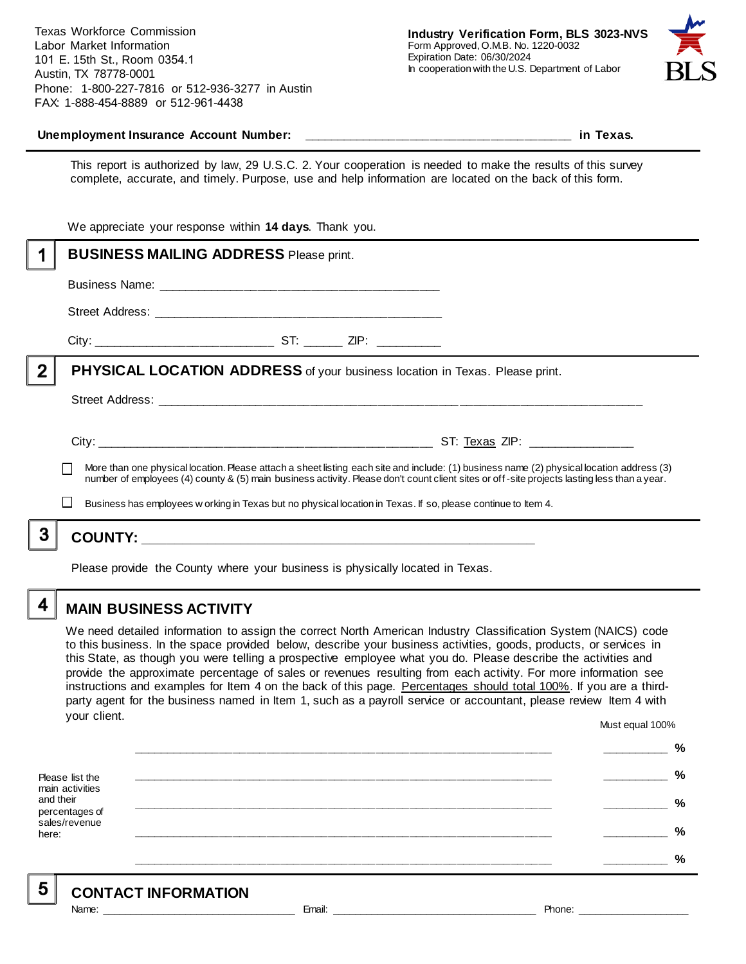Texas Workforce Commission Labor Market Information 101 E. 15th St., Room 0354.1 Austin, TX 78778-0001 Phone: 1-800-227-7816 or 512-936-3277 in Austin FAX: 1-888-454-8889 or 512-961-4438



#### **Unemployment Insurance Account Number: \_\_\_\_\_\_\_\_\_\_\_\_\_\_\_\_\_\_\_\_\_\_\_\_\_\_\_\_\_\_\_\_\_\_\_\_\_\_\_\_ in Texas.**

This report is authorized by law, 29 U.S.C. 2. Your cooperation is needed to make the results of this survey complete, accurate, and timely. Purpose, use and help information are located on the back of this form.

|             | We appreciate your response within 14 days. Thank you.                                                                                                                                                                                                                                   |  |  |  |
|-------------|------------------------------------------------------------------------------------------------------------------------------------------------------------------------------------------------------------------------------------------------------------------------------------------|--|--|--|
|             | <b>BUSINESS MAILING ADDRESS Please print.</b>                                                                                                                                                                                                                                            |  |  |  |
|             |                                                                                                                                                                                                                                                                                          |  |  |  |
|             |                                                                                                                                                                                                                                                                                          |  |  |  |
|             |                                                                                                                                                                                                                                                                                          |  |  |  |
| $\mathbf 2$ | <b>PHYSICAL LOCATION ADDRESS</b> of your business location in Texas. Please print.                                                                                                                                                                                                       |  |  |  |
|             |                                                                                                                                                                                                                                                                                          |  |  |  |
|             |                                                                                                                                                                                                                                                                                          |  |  |  |
|             | More than one physical location. Please attach a sheet listing each site and include: (1) business name (2) physical location address (3)<br>number of employees (4) county & (5) main business activity. Please don't count client sites or off-site projects lasting less than a year. |  |  |  |
|             | Business has employees w orking in Texas but no physical location in Texas. If so, please continue to Item 4.                                                                                                                                                                            |  |  |  |
|             |                                                                                                                                                                                                                                                                                          |  |  |  |
|             | Please provide the County where your business is physically located in Texas.                                                                                                                                                                                                            |  |  |  |

**MAIN BUSINESS ACTIVITY**

We need detailed information to assign the correct North American Industry Classification System (NAICS) code to this business. In the space provided below, describe your business activities, goods, products, or services in this State, as though you were telling a prospective employee what you do. Please describe the activities and provide the approximate percentage of sales or revenues resulting from each activity. For more information see instructions and examples for Item 4 on the back of this page. Percentages should total 100%. If you are a thirdparty agent for the business named in Item 1, such as a payroll service or accountant, please review Item 4 with your client. Must equal 100%

Please list the main activities and their percentages of sales/revenue here: **\_\_\_\_\_\_\_\_\_\_\_\_\_\_\_\_\_\_\_\_\_\_\_\_\_\_\_\_\_\_\_\_\_\_\_\_\_\_\_\_\_\_\_\_\_\_\_\_\_\_\_\_\_\_\_\_\_\_\_\_\_\_ \_\_\_\_\_\_\_\_\_\_ % \_\_\_\_\_\_\_\_\_\_\_\_\_\_\_\_\_\_\_\_\_\_\_\_\_\_\_\_\_\_\_\_\_\_\_\_\_\_\_\_\_\_\_\_\_\_\_\_\_\_\_\_\_\_\_\_\_\_\_\_\_\_ \_\_\_\_\_\_\_\_\_\_ % \_\_\_\_\_\_\_\_\_\_\_\_\_\_\_\_\_\_\_\_\_\_\_\_\_\_\_\_\_\_\_\_\_\_\_\_\_\_\_\_\_\_\_\_\_\_\_\_\_\_\_\_\_\_\_\_\_\_\_\_\_\_ \_\_\_\_\_\_\_\_\_\_ % \_\_\_\_\_\_\_\_\_\_\_\_\_\_\_\_\_\_\_\_\_\_\_\_\_\_\_\_\_\_\_\_\_\_\_\_\_\_\_\_\_\_\_\_\_\_\_\_\_\_\_\_\_\_\_\_\_\_\_\_\_\_ \_\_\_\_\_\_\_\_\_\_ % \_\_\_\_\_\_\_\_\_\_\_\_\_\_\_\_\_\_\_\_\_\_\_\_\_\_\_\_\_\_\_\_\_\_\_\_\_\_\_\_\_\_\_\_\_\_\_\_\_\_\_\_\_\_\_\_\_\_\_\_\_\_ \_\_\_\_\_\_\_\_\_\_ %**

5

4